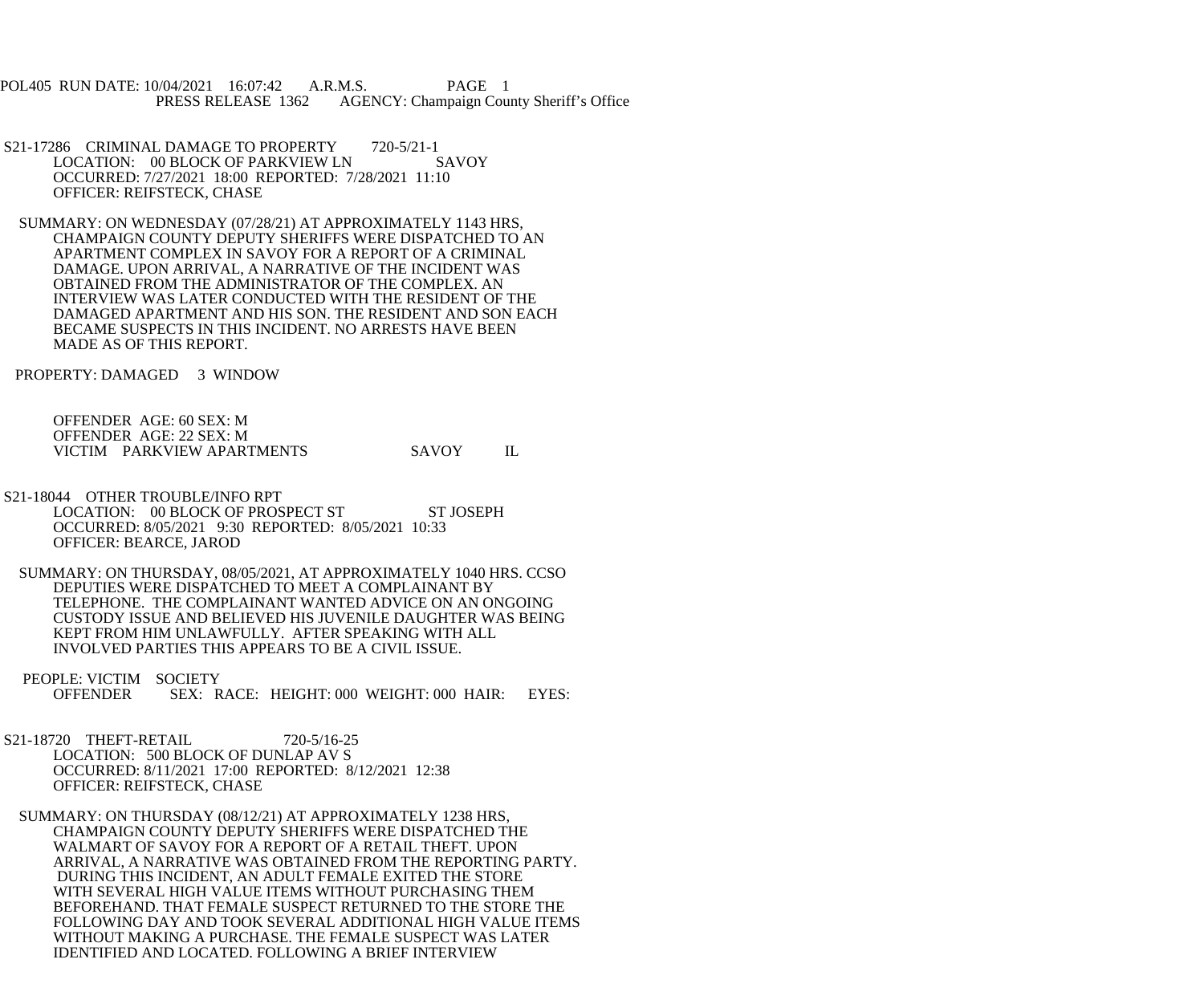POL405 RUN DATE: 10/04/2021 16:07:42 A.R.M.S. PAGE 1 PRESS RELEASE 1362 AGENCY: Champaign County Sheriff's Office

- S21-17286 CRIMINAL DAMAGE TO PROPERTY 720-5/21-1<br>LOCATION: 00 BLOCK OF PARKVIEW LN SAVOY LOCATION: 00 BLOCK OF PARKVIEW LN OCCURRED: 7/27/2021 18:00 REPORTED: 7/28/2021 11:10 OFFICER: REIFSTECK, CHASE
- SUMMARY: ON WEDNESDAY (07/28/21) AT APPROXIMATELY 1143 HRS, CHAMPAIGN COUNTY DEPUTY SHERIFFS WERE DISPATCHED TO AN APARTMENT COMPLEX IN SAVOY FOR A REPORT OF A CRIMINAL DAMAGE. UPON ARRIVAL, A NARRATIVE OF THE INCIDENT WAS OBTAINED FROM THE ADMINISTRATOR OF THE COMPLEX. AN INTERVIEW WAS LATER CONDUCTED WITH THE RESIDENT OF THE DAMAGED APARTMENT AND HIS SON. THE RESIDENT AND SON EACH BECAME SUSPECTS IN THIS INCIDENT. NO ARRESTS HAVE BEEN MADE AS OF THIS REPORT.

PROPERTY: DAMAGED 3 WINDOW

| OFFENDER AGE: 60 SEX: M                    |  |
|--------------------------------------------|--|
| OFFENDER AGE: 22 SEX: M                    |  |
| VICTIM PARKVIEW APARTMENTS<br><b>SAVOY</b> |  |

- S21-18044 OTHER TROUBLE/INFO RPT LOCATION: 00 BLOCK OF PROSPECT ST ST JOSEPH OCCURRED: 8/05/2021 9:30 REPORTED: 8/05/2021 10:33 OFFICER: BEARCE, JAROD
- SUMMARY: ON THURSDAY, 08/05/2021, AT APPROXIMATELY 1040 HRS. CCSO DEPUTIES WERE DISPATCHED TO MEET A COMPLAINANT BY TELEPHONE. THE COMPLAINANT WANTED ADVICE ON AN ONGOING CUSTODY ISSUE AND BELIEVED HIS JUVENILE DAUGHTER WAS BEING KEPT FROM HIM UNLAWFULLY. AFTER SPEAKING WITH ALL INVOLVED PARTIES THIS APPEARS TO BE A CIVIL ISSUE.
- PEOPLE: VICTIM SOCIETY<br>OFFENDER SEX: R SEX: RACE: HEIGHT: 000 WEIGHT: 000 HAIR: EYES:
- S21-18720 THEFT-RETAIL 720-5/16-25 LOCATION: 500 BLOCK OF DUNLAP AV S OCCURRED: 8/11/2021 17:00 REPORTED: 8/12/2021 12:38 OFFICER: REIFSTECK, CHASE
- SUMMARY: ON THURSDAY (08/12/21) AT APPROXIMATELY 1238 HRS, CHAMPAIGN COUNTY DEPUTY SHERIFFS WERE DISPATCHED THE WALMART OF SAVOY FOR A REPORT OF A RETAIL THEFT. UPON ARRIVAL, A NARRATIVE WAS OBTAINED FROM THE REPORTING PARTY. DURING THIS INCIDENT, AN ADULT FEMALE EXITED THE STORE WITH SEVERAL HIGH VALUE ITEMS WITHOUT PURCHASING THEM BEFOREHAND. THAT FEMALE SUSPECT RETURNED TO THE STORE THE FOLLOWING DAY AND TOOK SEVERAL ADDITIONAL HIGH VALUE ITEMS WITHOUT MAKING A PURCHASE. THE FEMALE SUSPECT WAS LATER IDENTIFIED AND LOCATED. FOLLOWING A BRIEF INTERVIEW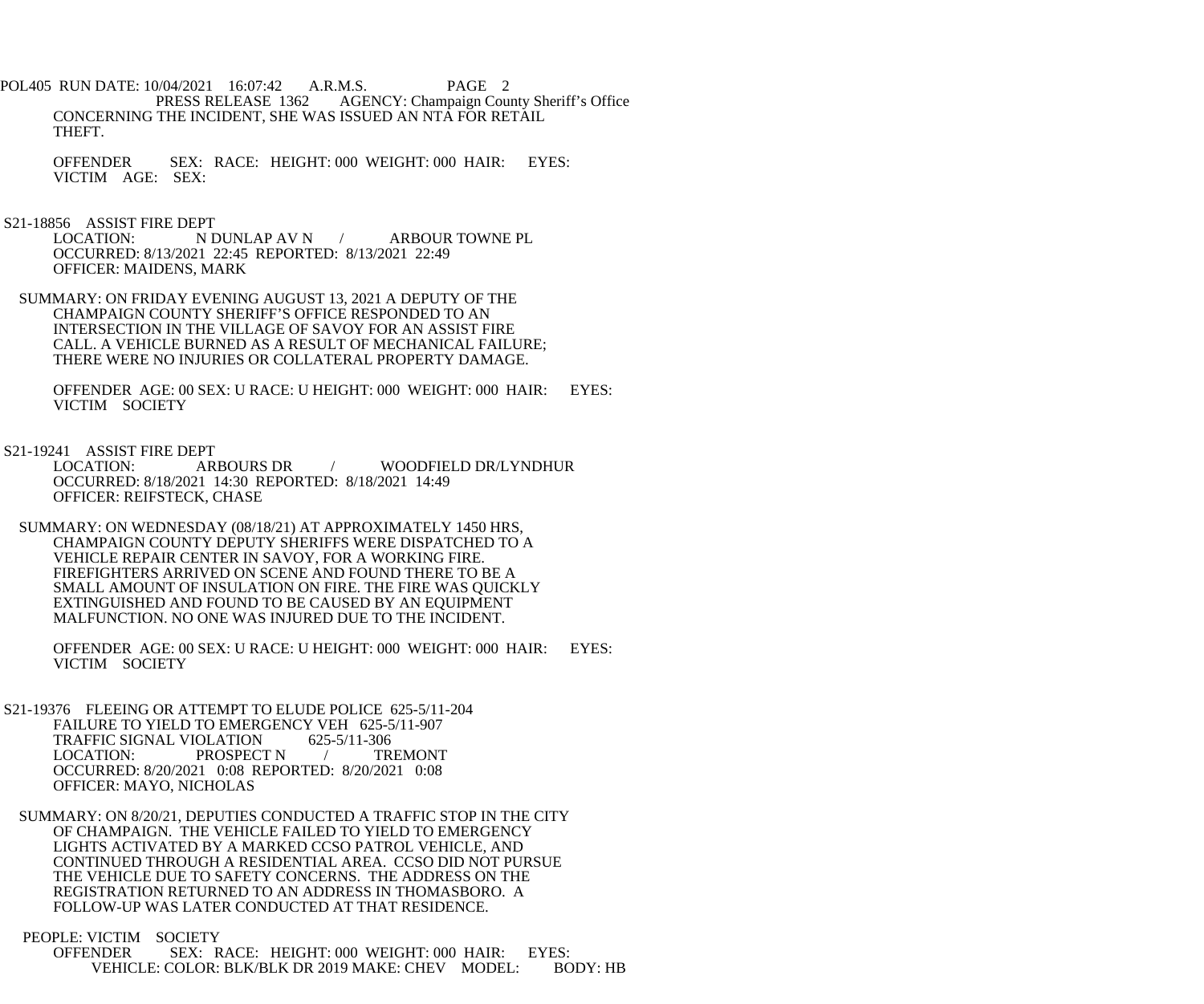POL405 RUN DATE: 10/04/2021 16:07:42 A.R.M.S. PAGE 2<br>PRESS RELEASE 1362 AGENCY: Champaign Cou AGENCY: Champaign County Sheriff's Office CONCERNING THE INCIDENT, SHE WAS ISSUED AN NTA FOR RETAIL THEFT.

 OFFENDER SEX: RACE: HEIGHT: 000 WEIGHT: 000 HAIR: EYES: VICTIM AGE: SEX:

S21-18856 ASSIST FIRE DEPT<br>LOCATION: N L

N DUNLAP AV N / ARBOUR TOWNE PL OCCURRED: 8/13/2021 22:45 REPORTED: 8/13/2021 22:49 OFFICER: MAIDENS, MARK

 SUMMARY: ON FRIDAY EVENING AUGUST 13, 2021 A DEPUTY OF THE CHAMPAIGN COUNTY SHERIFF'S OFFICE RESPONDED TO AN INTERSECTION IN THE VILLAGE OF SAVOY FOR AN ASSIST FIRE CALL. A VEHICLE BURNED AS A RESULT OF MECHANICAL FAILURE; THERE WERE NO INJURIES OR COLLATERAL PROPERTY DAMAGE.

 OFFENDER AGE: 00 SEX: U RACE: U HEIGHT: 000 WEIGHT: 000 HAIR: EYES: VICTIM SOCIETY

S21-19241 ASSIST FIRE DEPT<br>LOCATION: ARBOURS DR WOODFIELD DR/LYNDHUR OCCURRED: 8/18/2021 14:30 REPORTED: 8/18/2021 14:49 OFFICER: REIFSTECK, CHASE

 SUMMARY: ON WEDNESDAY (08/18/21) AT APPROXIMATELY 1450 HRS, CHAMPAIGN COUNTY DEPUTY SHERIFFS WERE DISPATCHED TO A VEHICLE REPAIR CENTER IN SAVOY, FOR A WORKING FIRE. FIREFIGHTERS ARRIVED ON SCENE AND FOUND THERE TO BE A SMALL AMOUNT OF INSULATION ON FIRE. THE FIRE WAS QUICKLY EXTINGUISHED AND FOUND TO BE CAUSED BY AN EQUIPMENT MALFUNCTION. NO ONE WAS INJURED DUE TO THE INCIDENT.

 OFFENDER AGE: 00 SEX: U RACE: U HEIGHT: 000 WEIGHT: 000 HAIR: EYES: VICTIM SOCIETY

 S21-19376 FLEEING OR ATTEMPT TO ELUDE POLICE 625-5/11-204 FAILURE TO YIELD TO EMERGENCY VEH 625-5/11-907 TRAFFIC SIGNAL VIOLATION 625-5/11-306<br>LOCATION: PROSPECT N / TREMONT PROSPECT N / OCCURRED: 8/20/2021 0:08 REPORTED: 8/20/2021 0:08 OFFICER: MAYO, NICHOLAS

 SUMMARY: ON 8/20/21, DEPUTIES CONDUCTED A TRAFFIC STOP IN THE CITY OF CHAMPAIGN. THE VEHICLE FAILED TO YIELD TO EMERGENCY LIGHTS ACTIVATED BY A MARKED CCSO PATROL VEHICLE, AND CONTINUED THROUGH A RESIDENTIAL AREA. CCSO DID NOT PURSUE THE VEHICLE DUE TO SAFETY CONCERNS. THE ADDRESS ON THE REGISTRATION RETURNED TO AN ADDRESS IN THOMASBORO. A FOLLOW-UP WAS LATER CONDUCTED AT THAT RESIDENCE.

PEOPLE: VICTIM SOCIETY

 OFFENDER SEX: RACE: HEIGHT: 000 WEIGHT: 000 HAIR: EYES: VEHICLE: COLOR: BLK/BLK DR 2019 MAKE: CHEV MODEL: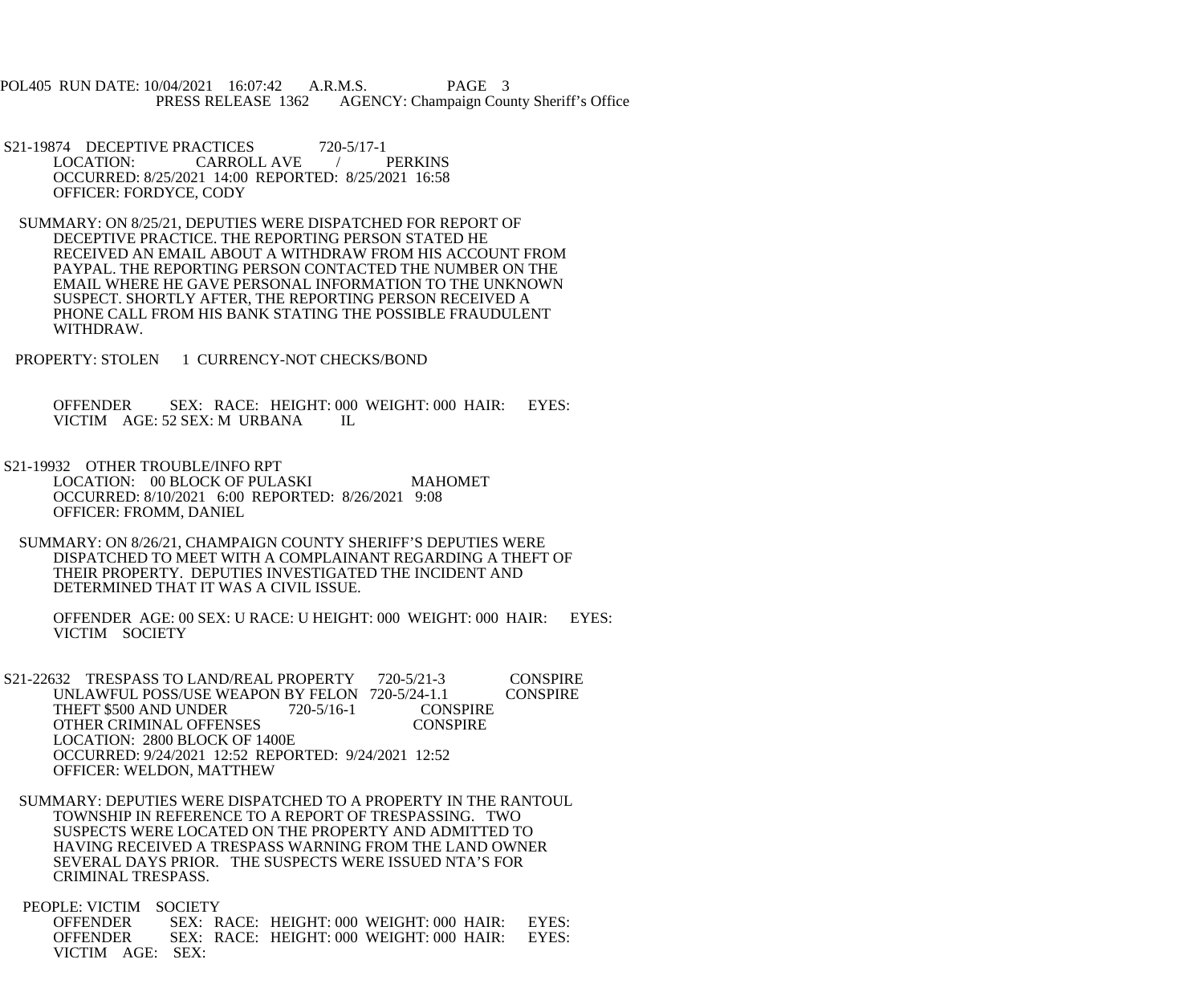POL405 RUN DATE: 10/04/2021 16:07:42 A.R.M.S. PAGE 3 PRESS RELEASE 1362 AGENCY: Champaign County Sheriff's Office

- S21-19874 DECEPTIVE PRACTICES 720-5/17-1<br>LOCATION: CARROLL AVE / PERKINS CARROLL AVE OCCURRED: 8/25/2021 14:00 REPORTED: 8/25/2021 16:58 OFFICER: FORDYCE, CODY
- SUMMARY: ON 8/25/21, DEPUTIES WERE DISPATCHED FOR REPORT OF DECEPTIVE PRACTICE. THE REPORTING PERSON STATED HE RECEIVED AN EMAIL ABOUT A WITHDRAW FROM HIS ACCOUNT FROM PAYPAL. THE REPORTING PERSON CONTACTED THE NUMBER ON THE EMAIL WHERE HE GAVE PERSONAL INFORMATION TO THE UNKNOWN SUSPECT. SHORTLY AFTER, THE REPORTING PERSON RECEIVED A PHONE CALL FROM HIS BANK STATING THE POSSIBLE FRAUDULENT WITHDRAW.
- PROPERTY: STOLEN 1 CURRENCY-NOT CHECKS/BOND

 OFFENDER SEX: RACE: HEIGHT: 000 WEIGHT: 000 HAIR: EYES: VICTIM AGE: 52 SEX: M URBANA IL

- S21-19932 OTHER TROUBLE/INFO RPT LOCATION: 00 BLOCK OF PULASKI MAHOMET OCCURRED: 8/10/2021 6:00 REPORTED: 8/26/2021 9:08 OFFICER: FROMM, DANIEL
- SUMMARY: ON 8/26/21, CHAMPAIGN COUNTY SHERIFF'S DEPUTIES WERE DISPATCHED TO MEET WITH A COMPLAINANT REGARDING A THEFT OF THEIR PROPERTY. DEPUTIES INVESTIGATED THE INCIDENT AND DETERMINED THAT IT WAS A CIVIL ISSUE.

 OFFENDER AGE: 00 SEX: U RACE: U HEIGHT: 000 WEIGHT: 000 HAIR: EYES: VICTIM SOCIETY

S21-22632 TRESPASS TO LAND/REAL PROPERTY 720-5/21-3 CONSPIRE<br>UNLAWFUL POSS/USE WEAPON BY FELON 720-5/24-1.1 CONSPIRE UNLAWFUL POSS/USE WEAPON BY FELON 720-5/24-1.1<br>THEFT \$500 AND UNDER 720-5/16-1 CONSPIRE THEFT \$500 AND UNDER 720-5/16-1 CONSPIRE<br>OTHER CRIMINAL OFFENSES CONSPIRE OTHER CRIMINAL OFFENSES LOCATION: 2800 BLOCK OF 1400E OCCURRED: 9/24/2021 12:52 REPORTED: 9/24/2021 12:52 OFFICER: WELDON, MATTHEW

 SUMMARY: DEPUTIES WERE DISPATCHED TO A PROPERTY IN THE RANTOUL TOWNSHIP IN REFERENCE TO A REPORT OF TRESPASSING. TWO SUSPECTS WERE LOCATED ON THE PROPERTY AND ADMITTED TO HAVING RECEIVED A TRESPASS WARNING FROM THE LAND OWNER SEVERAL DAYS PRIOR. THE SUSPECTS WERE ISSUED NTA'S FOR CRIMINAL TRESPASS.

PEOPLE: VICTIM SOCIETY<br>OFFENDER SEX: R SEX: RACE: HEIGHT: 000 WEIGHT: 000 HAIR: EYES: OFFENDER SEX: RACE: HEIGHT: 000 WEIGHT: 000 HAIR: EYES: VICTIM AGE: SEX: